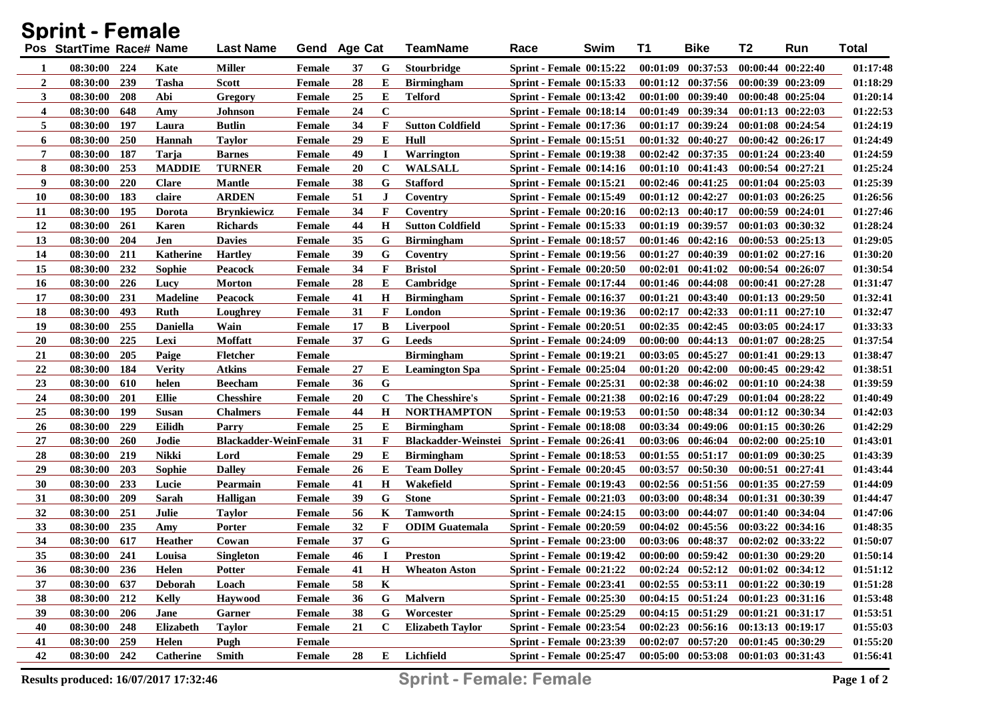| Sprint - Female  |                          |            |                  |                              |               |              |              |                            |                                 |      |          |                                             |                       |                       |          |
|------------------|--------------------------|------------|------------------|------------------------------|---------------|--------------|--------------|----------------------------|---------------------------------|------|----------|---------------------------------------------|-----------------------|-----------------------|----------|
|                  | Pos StartTime Race# Name |            |                  | <b>Last Name</b>             |               | Gend Age Cat |              | <b>TeamName</b>            | Race                            | Swim | T1       | <b>Bike</b>                                 | <b>T2</b>             | Run                   | Total    |
| 1                | 08:30:00                 | 224        | Kate             | <b>Miller</b>                | Female        | 37           | G            | <b>Stourbridge</b>         | <b>Sprint - Female 00:15:22</b> |      |          | $00:01:09$ $00:37:53$                       |                       | 00:00:44 00:22:40     | 01:17:48 |
| $\boldsymbol{2}$ | 08:30:00                 | 239        | <b>Tasha</b>     | <b>Scott</b>                 | Female        | 28           | E            | <b>Birmingham</b>          | <b>Sprint - Female 00:15:33</b> |      |          | $00:01:12$ $00:37:56$                       | 00:00:39 00:23:09     |                       | 01:18:29 |
| 3                | 08:30:00                 | 208        | Abi              | Gregory                      | Female        | 25           | E            | <b>Telford</b>             | <b>Sprint - Female 00:13:42</b> |      |          | $00:01:00$ $00:39:40$                       | 00:00:48 00:25:04     |                       | 01:20:14 |
| 4                | 08:30:00                 | 648        | Amy              | <b>Johnson</b>               | Female        | 24           | $\mathbf C$  |                            | Sprint - Female 00:18:14        |      |          | 00:01:49 00:39:34                           |                       | $00:01:13$ $00:22:03$ | 01:22:53 |
| 5                | 08:30:00                 | -197       | Laura            | <b>Butlin</b>                | Female        | 34           | F            | <b>Sutton Coldfield</b>    | <b>Sprint - Female 00:17:36</b> |      |          | $00:01:17$ $00:39:24$                       | 00:01:08 00:24:54     |                       | 01:24:19 |
| 6                | 08:30:00                 | 250        | Hannah           | <b>Taylor</b>                | Female        | 29           | Е            | Hull                       | <b>Sprint - Female 00:15:51</b> |      |          | 00:01:32 00:40:27                           | $00:00:42$ $00:26:17$ |                       | 01:24:49 |
| 7                | 08:30:00                 | 187        | Tarja            | <b>Barnes</b>                | Female        | 49           | $\bf I$      | Warrington                 | <b>Sprint - Female 00:19:38</b> |      |          | $00:02:42$ $00:37:35$                       |                       | 00:01:24 00:23:40     | 01:24:59 |
| 8                | 08:30:00                 | 253        | <b>MADDIE</b>    | <b>TURNER</b>                | Female        | 20           | $\mathbf C$  | <b>WALSALL</b>             | <b>Sprint - Female 00:14:16</b> |      |          | $00:01:10$ $00:41:43$                       | 00:00:54 00:27:21     |                       | 01:25:24 |
| 9                | 08:30:00                 | 220        | <b>Clare</b>     | <b>Mantle</b>                | Female        | 38           | G            | <b>Stafford</b>            | <b>Sprint - Female 00:15:21</b> |      |          | $00:02:46$ $00:41:25$                       | 00:01:04 00:25:03     |                       | 01:25:39 |
| <b>10</b>        | 08:30:00                 | 183        | claire           | <b>ARDEN</b>                 | Female        | 51           | J            | Coventry                   | <b>Sprint - Female 00:15:49</b> |      |          | $00:01:12$ $00:42:27$                       | $00:01:03$ $00:26:25$ |                       | 01:26:56 |
| 11               | 08:30:00                 | 195        | Dorota           | <b>Brynkiewicz</b>           | Female        | 34           | F            | Coventry                   | <b>Sprint - Female 00:20:16</b> |      |          | $00:02:13$ $00:40:17$                       | 00:00:59 00:24:01     |                       | 01:27:46 |
| 12               | 08:30:00                 | 261        | Karen            | <b>Richards</b>              | Female        | 44           | $\mathbf H$  | <b>Sutton Coldfield</b>    | <b>Sprint - Female 00:15:33</b> |      |          | $00:01:19$ $00:39:57$                       |                       | 00:01:03 00:30:32     | 01:28:24 |
| 13               | 08:30:00                 | 204        | Jen              | <b>Davies</b>                | Female        | 35           | G            | <b>Birmingham</b>          | <b>Sprint - Female 00:18:57</b> |      |          | $00:01:46$ $00:42:16$                       |                       | $00:00:53$ $00:25:13$ | 01:29:05 |
| 14               | 08:30:00                 | 211        | Katherine        | <b>Hartley</b>               | Female        | 39           | G            | Coventry                   | <b>Sprint - Female 00:19:56</b> |      | 00:01:27 | 00:40:39                                    |                       | 00:01:02 00:27:16     | 01:30:20 |
| 15               | 08:30:00                 | 232        | Sophie           | Peacock                      | Female        | 34           | F            | <b>Bristol</b>             | <b>Sprint - Female 00:20:50</b> |      | 00:02:01 | 00:41:02                                    | 00:00:54 00:26:07     |                       | 01:30:54 |
| <b>16</b>        | 08:30:00                 | 226        | Lucy             | <b>Morton</b>                | Female        | 28           | Е            | <b>Cambridge</b>           | <b>Sprint - Female 00:17:44</b> |      |          | $00:01:46$ $00:44:08$                       |                       | 00:00:41 00:27:28     | 01:31:47 |
| 17               | 08:30:00                 | 231        | <b>Madeline</b>  | <b>Peacock</b>               | Female        | 41           | H            | <b>Birmingham</b>          | <b>Sprint - Female 00:16:37</b> |      |          | $00:01:21$ $00:43:40$                       |                       | 00:01:13 00:29:50     | 01:32:41 |
| 18               | 08:30:00                 | 493        | Ruth             | Loughrey                     | Female        | 31           | F            | London                     | <b>Sprint - Female 00:19:36</b> |      |          | $00:02:17$ $00:42:33$                       |                       | 00:01:11 00:27:10     | 01:32:47 |
| 19               | 08:30:00                 | 255        | <b>Daniella</b>  | Wain                         | Female        | 17           | B            | <b>Liverpool</b>           | <b>Sprint - Female 00:20:51</b> |      |          | $00:02:35$ $00:42:45$                       | 00:03:05 00:24:17     |                       | 01:33:33 |
| <b>20</b>        | 08:30:00                 | 225        | Lexi             | Moffatt                      | Female        | 37           | G            | <b>Leeds</b>               | <b>Sprint - Female 00:24:09</b> |      |          | $00:00:00$ $00:44:13$                       |                       | 00:01:07 00:28:25     | 01:37:54 |
| 21               | 08:30:00                 | 205        | Paige            | <b>Fletcher</b>              | Female        |              |              | <b>Birmingham</b>          | <b>Sprint - Female 00:19:21</b> |      |          | $00:03:05$ $00:45:27$                       |                       | 00:01:41 00:29:13     | 01:38:47 |
| 22               | 08:30:00                 | 184        | <b>Verity</b>    | Atkins                       | Female        | 27           | Е            | <b>Leamington Spa</b>      | Sprint - Female $00:25:04$      |      |          | $00:01:20$ $00:42:00$                       |                       | $00:00:45$ $00:29:42$ | 01:38:51 |
| 23               | 08:30:00                 | 610        | helen            | <b>Beecham</b>               | Female        | 36           | G            |                            | <b>Sprint - Female 00:25:31</b> |      |          | $00:02:38$ $00:46:02$                       |                       | 00:01:10 00:24:38     | 01:39:59 |
| 24               | 08:30:00                 | 201        | Ellie            | <b>Chesshire</b>             | Female        | 20           | $\mathbf C$  | The Chesshire's            | <b>Sprint - Female 00:21:38</b> |      |          | 00:02:16 00:47:29                           |                       | 00:01:04 00:28:22     | 01:40:49 |
| 25               | 08:30:00                 | 199        | Susan            | <b>Chalmers</b>              | Female        | 44           | $\mathbf H$  | <b>NORTHAMPTON</b>         | <b>Sprint - Female 00:19:53</b> |      |          | 00:01:50 00:48:34                           |                       | 00:01:12 00:30:34     | 01:42:03 |
| 26               | 08:30:00                 | 229        | Eilidh           | Parry                        | Female        | 25           | E            | <b>Birmingham</b>          | <b>Sprint - Female 00:18:08</b> |      |          | 00:03:34 00:49:06                           |                       | $00:01:15$ $00:30:26$ | 01:42:29 |
| 27               | 08:30:00                 | <b>260</b> | Jodie            | <b>Blackadder-WeinFemale</b> |               | 31           | F            | <b>Blackadder-Weinstei</b> | Sprint - Female 00:26:41        |      |          | 00:03:06 00:46:04                           |                       | $00:02:00$ $00:25:10$ | 01:43:01 |
| 28               | 08:30:00                 | 219        | <b>Nikki</b>     | Lord                         | Female        | 29           | Е            | <b>Birmingham</b>          | <b>Sprint - Female 00:18:53</b> |      |          | $00:01:55$ $00:51:17$                       | 00:01:09 00:30:25     |                       | 01:43:39 |
| 29               | 08:30:00                 | 203        | Sophie           | <b>Dalley</b>                | Female        | 26           | Е            | <b>Team Dolley</b>         | <b>Sprint - Female 00:20:45</b> |      | 00:03:57 | 00:50:30                                    | 00:00:51 00:27:41     |                       | 01:43:44 |
| 30               | 08:30:00                 | 233        | Lucie            | Pearmain                     | Female        | 41           | $\mathbf H$  | Wakefield                  | <b>Sprint - Female 00:19:43</b> |      |          | 00:02:56 00:51:56                           | 00:01:35 00:27:59     |                       | 01:44:09 |
| 31               | 08:30:00                 | 209        | Sarah            | <b>Halligan</b>              | Female        | 39           | G            | <b>Stone</b>               | <b>Sprint - Female 00:21:03</b> |      |          | 00:03:00 00:48:34                           | 00:01:31 00:30:39     |                       | 01:44:47 |
| 32               | 08:30:00                 | 251        | Julie            | <b>Taylor</b>                | <b>Female</b> | 56           | K            | <b>Tamworth</b>            | <b>Sprint - Female 00:24:15</b> |      |          | 00:03:00 00:44:07                           | 00:01:40 00:34:04     |                       | 01:47:06 |
| 33               | 08:30:00                 | 235        | Amy              | Porter                       | Female        | 32           | F            | <b>ODIM</b> Guatemala      | <b>Sprint - Female 00:20:59</b> |      |          | $00:04:02$ $00:45:56$                       |                       | 00:03:22 00:34:16     | 01:48:35 |
| 34               | 08:30:00                 | 617        | <b>Heather</b>   | Cowan                        | Female        | 37           | G            |                            | <b>Sprint - Female 00:23:00</b> |      |          | 00:03:06 00:48:37                           |                       | 00:02:02 00:33:22     | 01:50:07 |
| 35               | 08:30:00 241             |            | Louisa           | <b>Singleton</b>             | Female        | 46           | I            | Preston                    | <b>Sprint - Female 00:19:42</b> |      |          | $00:00:00$ $00:59:42$ $00:01:30$ $00:29:20$ |                       |                       | 01:50:14 |
| 36               | 08:30:00 236             |            | Helen            | <b>Potter</b>                | Female        | 41           | $\mathbf{H}$ | <b>Wheaton Aston</b>       | Sprint - Female $00:21:22$      |      |          | $00:02:24$ $00:52:12$ $00:01:02$ $00:34:12$ |                       |                       | 01:51:12 |
| 37               | 08:30:00                 | 637        | <b>Deborah</b>   | Loach                        | Female        | 58           | K            |                            | <b>Sprint - Female 00:23:41</b> |      |          | $00:02:55$ $00:53:11$                       | 00:01:22 00:30:19     |                       | 01:51:28 |
| 38               | 08:30:00                 | 212        | <b>Kelly</b>     | Havwood                      | Female        | 36           | G            | <b>Malvern</b>             | Sprint - Female $00:25:30$      |      |          | $00:04:15$ $00:51:24$                       | 00:01:23 00:31:16     |                       | 01:53:48 |
| 39               | 08:30:00                 | 206        | Jane             | Garner                       | Female        | 38           | G            | Worcester                  | <b>Sprint - Female 00:25:29</b> |      |          | 00:04:15 00:51:29 00:01:21 00:31:17         |                       |                       | 01:53:51 |
| 40               | 08:30:00                 | 248        | <b>Elizabeth</b> | <b>Taylor</b>                | Female        | 21           | C            | <b>Elizabeth Taylor</b>    | <b>Sprint - Female 00:23:54</b> |      |          | 00:02:23 00:56:16 00:13:13 00:19:17         |                       |                       | 01:55:03 |
| 41               | 08:30:00                 | 259        | Helen            | Pugh                         | Female        |              |              |                            | <b>Sprint - Female 00:23:39</b> |      |          | 00:02:07 00:57:20 00:01:45 00:30:29         |                       |                       | 01:55:20 |
| 42               | 08:30:00 242             |            | Catherine        | Smith                        | Female        | 28           | E            | Lichfield                  | <b>Sprint - Female 00:25:47</b> |      |          | 00:05:00 00:53:08 00:01:03 00:31:43         |                       |                       | 01:56:41 |